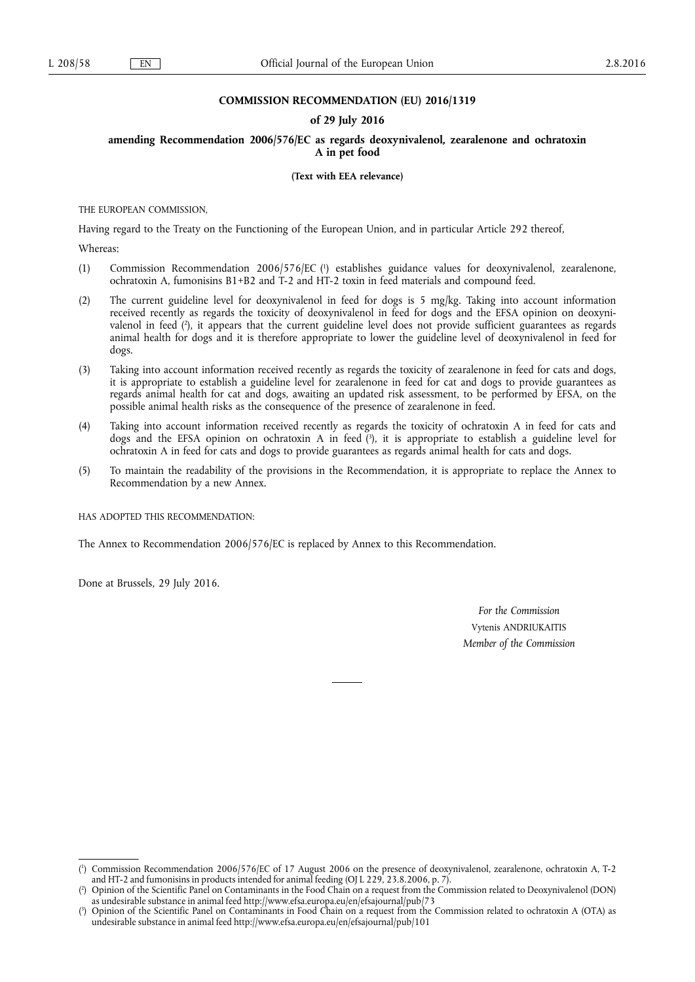#### **COMMISSION RECOMMENDATION (EU) 2016/1319**

### **of 29 July 2016**

## **amending Recommendation 2006/576/EC as regards deoxynivalenol, zearalenone and ochratoxin A in pet food**

**(Text with EEA relevance)** 

THE EUROPEAN COMMISSION,

Having regard to the Treaty on the Functioning of the European Union, and in particular Article 292 thereof,

Whereas:

- (1) Commission Recommendation 2006/576/EC ( 1 ) establishes guidance values for deoxynivalenol, zearalenone, ochratoxin A, fumonisins B1+B2 and T-2 and HT-2 toxin in feed materials and compound feed.
- (2) The current guideline level for deoxynivalenol in feed for dogs is 5 mg/kg. Taking into account information received recently as regards the toxicity of deoxynivalenol in feed for dogs and the EFSA opinion on deoxynivalenol in feed ( 2 ), it appears that the current guideline level does not provide sufficient guarantees as regards animal health for dogs and it is therefore appropriate to lower the guideline level of deoxynivalenol in feed for dogs.
- (3) Taking into account information received recently as regards the toxicity of zearalenone in feed for cats and dogs, it is appropriate to establish a guideline level for zearalenone in feed for cat and dogs to provide guarantees as regards animal health for cat and dogs, awaiting an updated risk assessment, to be performed by EFSA, on the possible animal health risks as the consequence of the presence of zearalenone in feed.
- (4) Taking into account information received recently as regards the toxicity of ochratoxin A in feed for cats and dogs and the EFSA opinion on ochratoxin A in feed ( 3 ), it is appropriate to establish a guideline level for ochratoxin A in feed for cats and dogs to provide guarantees as regards animal health for cats and dogs.
- (5) To maintain the readability of the provisions in the Recommendation, it is appropriate to replace the Annex to Recommendation by a new Annex.

HAS ADOPTED THIS RECOMMENDATION:

The Annex to Recommendation 2006/576/EC is replaced by Annex to this Recommendation.

Done at Brussels, 29 July 2016.

*For the Commission*  Vytenis ANDRIUKAITIS *Member of the Commission* 

<sup>(</sup> 1 ) Commission Recommendation 2006/576/EC of 17 August 2006 on the presence of deoxynivalenol, zearalenone, ochratoxin A, T-2 and HT-2 and fumonisins in products intended for animal feeding (OJ L 229, 23.8.2006, p. 7).

<sup>(</sup> 2 ) Opinion of the Scientific Panel on Contaminants in the Food Chain on a request from the Commission related to Deoxynivalenol (DON) as undesirable substance in animal feed <http://www.efsa.europa.eu/en/efsajournal/pub/73>

<sup>(</sup> 3 ) Opinion of the Scientific Panel on Contaminants in Food Chain on a request from the Commission related to ochratoxin A (OTA) as undesirable substance in animal feed<http://www.efsa.europa.eu/en/efsajournal/pub/101>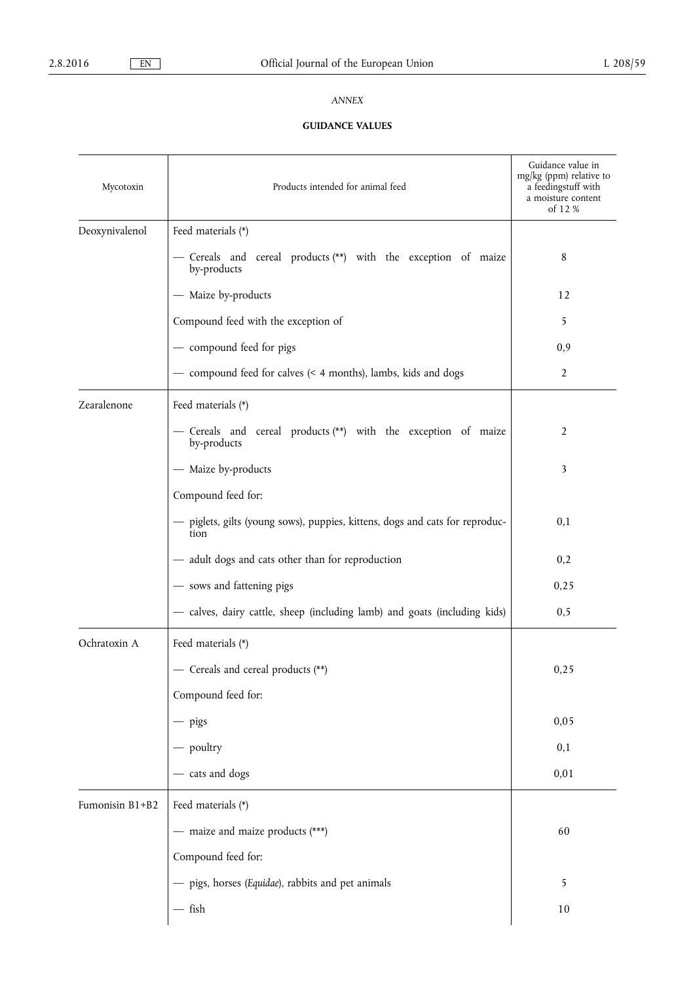# *ANNEX*

# **GUIDANCE VALUES**

| Mycotoxin       | Products intended for animal feed                                                    | Guidance value in<br>$mg/kg$ (ppm) relative to<br>a feedingstuff with<br>a moisture content<br>of 12 % |
|-----------------|--------------------------------------------------------------------------------------|--------------------------------------------------------------------------------------------------------|
| Deoxynivalenol  | Feed materials (*)                                                                   |                                                                                                        |
|                 | - Cereals and cereal products (**) with the exception of maize<br>by-products        | 8                                                                                                      |
|                 | - Maize by-products                                                                  | 12                                                                                                     |
|                 | Compound feed with the exception of                                                  | 5                                                                                                      |
|                 | - compound feed for pigs                                                             | 0,9                                                                                                    |
|                 | - compound feed for calves (< 4 months), lambs, kids and dogs                        | $\overline{2}$                                                                                         |
| Zearalenone     | Feed materials (*)                                                                   |                                                                                                        |
|                 | - Cereals and cereal products (**) with the exception of maize<br>by-products        | 2                                                                                                      |
|                 | - Maize by-products                                                                  | 3                                                                                                      |
|                 | Compound feed for:                                                                   |                                                                                                        |
|                 | - piglets, gilts (young sows), puppies, kittens, dogs and cats for reproduc-<br>tion | 0,1                                                                                                    |
|                 | - adult dogs and cats other than for reproduction                                    | 0,2                                                                                                    |
|                 | - sows and fattening pigs                                                            | 0,25                                                                                                   |
|                 | - calves, dairy cattle, sheep (including lamb) and goats (including kids)            | 0,5                                                                                                    |
| Ochratoxin A    | Feed materials (*)                                                                   |                                                                                                        |
|                 | - Cereals and cereal products (**)                                                   | 0,25                                                                                                   |
|                 | Compound feed for:                                                                   |                                                                                                        |
|                 | $-$ pigs                                                                             | 0,05                                                                                                   |
|                 | - poultry                                                                            | 0,1                                                                                                    |
|                 | - cats and dogs                                                                      | 0,01                                                                                                   |
| Fumonisin B1+B2 | Feed materials (*)                                                                   |                                                                                                        |
|                 | - maize and maize products (***)                                                     | 60                                                                                                     |
|                 | Compound feed for:                                                                   |                                                                                                        |
|                 | - pigs, horses (Equidae), rabbits and pet animals                                    | 5                                                                                                      |
|                 | $-$ fish                                                                             | $10\,$                                                                                                 |